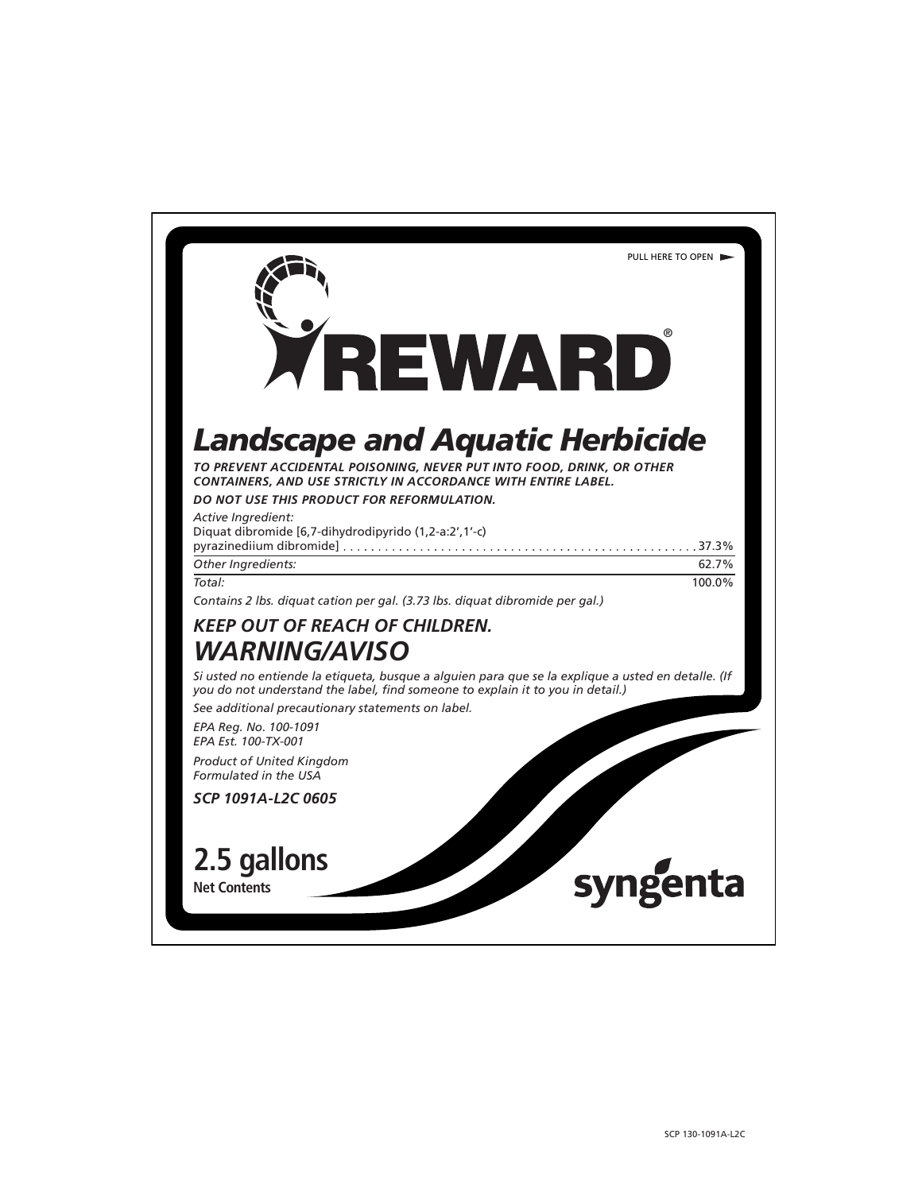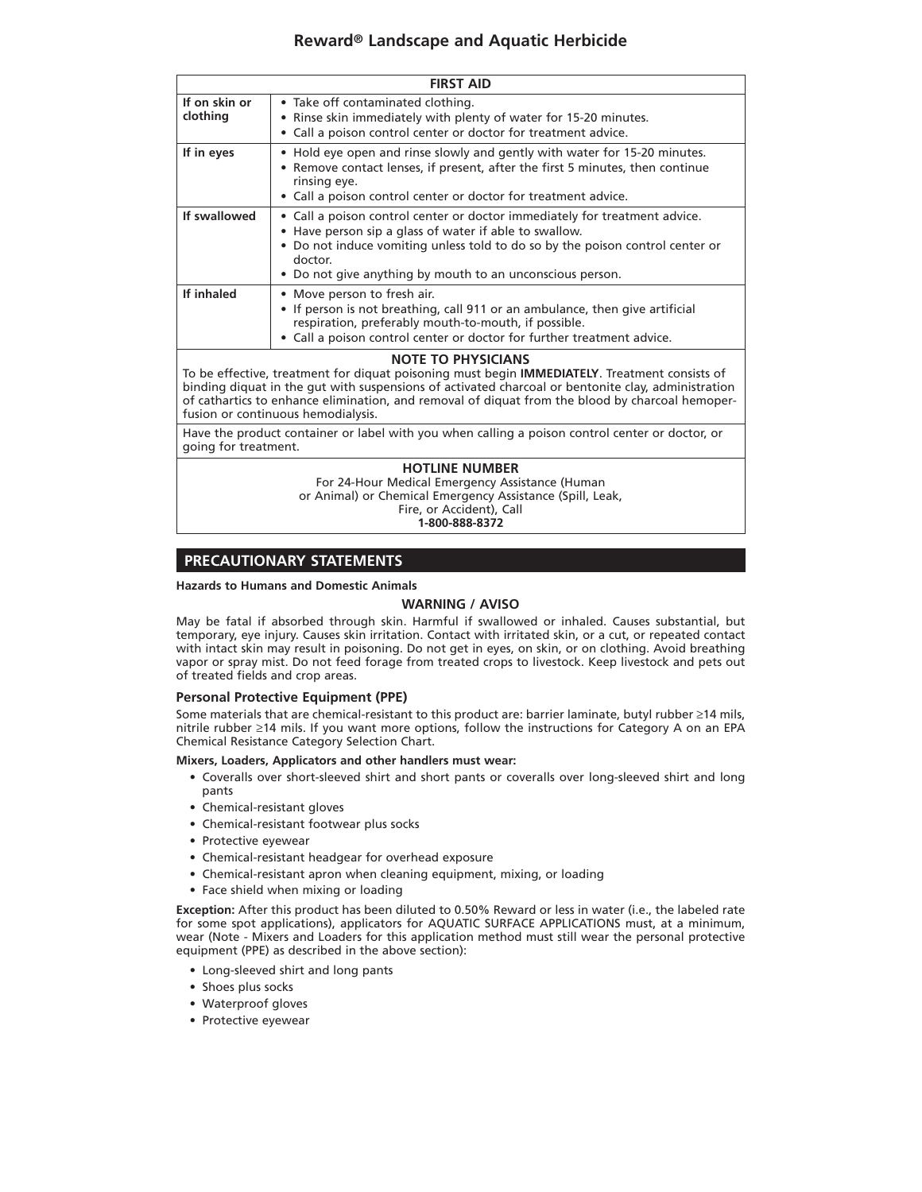| <b>FIRST AID</b>                                                                                                                                                                                                                                                                                                                                                          |                                                                                                                                                                                                                                                                                               |  |  |  |
|---------------------------------------------------------------------------------------------------------------------------------------------------------------------------------------------------------------------------------------------------------------------------------------------------------------------------------------------------------------------------|-----------------------------------------------------------------------------------------------------------------------------------------------------------------------------------------------------------------------------------------------------------------------------------------------|--|--|--|
| If on skin or<br>clothing                                                                                                                                                                                                                                                                                                                                                 | • Take off contaminated clothing.<br>• Rinse skin immediately with plenty of water for 15-20 minutes.<br>• Call a poison control center or doctor for treatment advice.                                                                                                                       |  |  |  |
| If in eyes                                                                                                                                                                                                                                                                                                                                                                | • Hold eye open and rinse slowly and gently with water for 15-20 minutes.<br>• Remove contact lenses, if present, after the first 5 minutes, then continue<br>rinsing eye.<br>• Call a poison control center or doctor for treatment advice.                                                  |  |  |  |
| If swallowed                                                                                                                                                                                                                                                                                                                                                              | • Call a poison control center or doctor immediately for treatment advice.<br>• Have person sip a glass of water if able to swallow.<br>• Do not induce vomiting unless told to do so by the poison control center or<br>doctor.<br>• Do not give anything by mouth to an unconscious person. |  |  |  |
| If inhaled                                                                                                                                                                                                                                                                                                                                                                | • Move person to fresh air.<br>• If person is not breathing, call 911 or an ambulance, then give artificial<br>respiration, preferably mouth-to-mouth, if possible.<br>• Call a poison control center or doctor for further treatment advice.                                                 |  |  |  |
| <b>NOTE TO PHYSICIANS</b><br>To be effective, treatment for diquat poisoning must begin IMMEDIATELY. Treatment consists of<br>binding diquat in the gut with suspensions of activated charcoal or bentonite clay, administration<br>of cathartics to enhance elimination, and removal of diquat from the blood by charcoal hemoper-<br>fusion or continuous hemodialysis. |                                                                                                                                                                                                                                                                                               |  |  |  |
| going for treatment.                                                                                                                                                                                                                                                                                                                                                      | Have the product container or label with you when calling a poison control center or doctor, or                                                                                                                                                                                               |  |  |  |
| <b>HOTLINE NUMBER</b>                                                                                                                                                                                                                                                                                                                                                     |                                                                                                                                                                                                                                                                                               |  |  |  |
| For 24-Hour Medical Emergency Assistance (Human                                                                                                                                                                                                                                                                                                                           |                                                                                                                                                                                                                                                                                               |  |  |  |

or Animal) or Chemical Emergency Assistance (Spill, Leak,

Fire, or Accident), Call

**1-800-888-8372**

## **PRECAUTIONARY STATEMENTS**

#### **Hazards to Humans and Domestic Animals**

## **WARNING / AVISO**

May be fatal if absorbed through skin. Harmful if swallowed or inhaled. Causes substantial, but temporary, eye injury. Causes skin irritation. Contact with irritated skin, or a cut, or repeated contact with intact skin may result in poisoning. Do not get in eyes, on skin, or on clothing. Avoid breathing vapor or spray mist. Do not feed forage from treated crops to livestock. Keep livestock and pets out of treated fields and crop areas.

#### **Personal Protective Equipment (PPE)**

Some materials that are chemical-resistant to this product are: barrier laminate, butyl rubber ≥14 mils, nitrile rubber ≥14 mils. If you want more options, follow the instructions for Category A on an EPA Chemical Resistance Category Selection Chart.

#### **Mixers, Loaders, Applicators and other handlers must wear:**

- Coveralls over short-sleeved shirt and short pants or coveralls over long-sleeved shirt and long pants
- Chemical-resistant gloves
- Chemical-resistant footwear plus socks
- Protective eyewear
- Chemical-resistant headgear for overhead exposure
- Chemical-resistant apron when cleaning equipment, mixing, or loading
- Face shield when mixing or loading

**Exception:** After this product has been diluted to 0.50% Reward or less in water (i.e., the labeled rate for some spot applications), applicators for AQUATIC SURFACE APPLICATIONS must, at a minimum, wear (Note - Mixers and Loaders for this application method must still wear the personal protective equipment (PPE) as described in the above section):

- Long-sleeved shirt and long pants
- Shoes plus socks
- Waterproof gloves
- Protective eyewear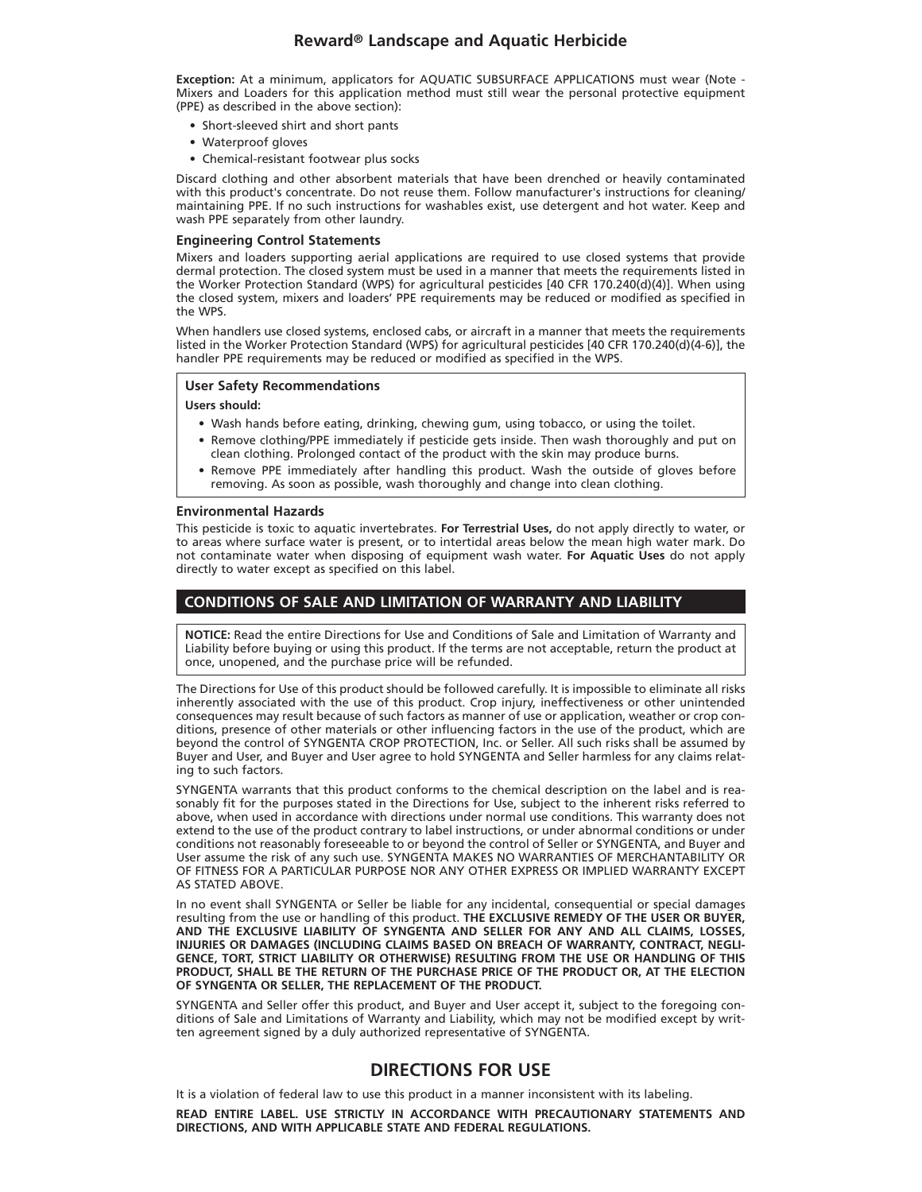**Exception:** At a minimum, applicators for AQUATIC SUBSURFACE APPLICATIONS must wear (Note - Mixers and Loaders for this application method must still wear the personal protective equipment (PPE) as described in the above section):

- Short-sleeved shirt and short pants
- Waterproof gloves
- Chemical-resistant footwear plus socks

Discard clothing and other absorbent materials that have been drenched or heavily contaminated with this product's concentrate. Do not reuse them. Follow manufacturer's instructions for cleaning/ maintaining PPE. If no such instructions for washables exist, use detergent and hot water. Keep and wash PPE separately from other laundry.

#### **Engineering Control Statements**

Mixers and loaders supporting aerial applications are required to use closed systems that provide dermal protection. The closed system must be used in a manner that meets the requirements listed in the Worker Protection Standard (WPS) for agricultural pesticides [40 CFR 170.240(d)(4)]. When using the closed system, mixers and loaders' PPE requirements may be reduced or modified as specified in the WPS.

When handlers use closed systems, enclosed cabs, or aircraft in a manner that meets the requirements listed in the Worker Protection Standard (WPS) for agricultural pesticides [40 CFR 170.240(d)(4-6)], the handler PPE requirements may be reduced or modified as specified in the WPS.

#### **User Safety Recommendations**

#### **Users should:**

- Wash hands before eating, drinking, chewing gum, using tobacco, or using the toilet.
- Remove clothing/PPE immediately if pesticide gets inside. Then wash thoroughly and put on clean clothing. Prolonged contact of the product with the skin may produce burns.
- Remove PPE immediately after handling this product. Wash the outside of gloves before removing. As soon as possible, wash thoroughly and change into clean clothing.

#### **Environmental Hazards**

This pesticide is toxic to aquatic invertebrates. **For Terrestrial Uses,** do not apply directly to water, or to areas where surface water is present, or to intertidal areas below the mean high water mark. Do not contaminate water when disposing of equipment wash water. **For Aquatic Uses** do not apply directly to water except as specified on this label.

## **CONDITIONS OF SALE AND LIMITATION OF WARRANTY AND LIABILITY**

**NOTICE:** Read the entire Directions for Use and Conditions of Sale and Limitation of Warranty and Liability before buying or using this product. If the terms are not acceptable, return the product at once, unopened, and the purchase price will be refunded.

The Directions for Use of this product should be followed carefully. It is impossible to eliminate all risks inherently associated with the use of this product. Crop injury, ineffectiveness or other unintended consequences may result because of such factors as manner of use or application, weather or crop conditions, presence of other materials or other influencing factors in the use of the product, which are beyond the control of SYNGENTA CROP PROTECTION, Inc. or Seller. All such risks shall be assumed by Buyer and User, and Buyer and User agree to hold SYNGENTA and Seller harmless for any claims relating to such factors.

SYNGENTA warrants that this product conforms to the chemical description on the label and is reasonably fit for the purposes stated in the Directions for Use, subject to the inherent risks referred to above, when used in accordance with directions under normal use conditions. This warranty does not extend to the use of the product contrary to label instructions, or under abnormal conditions or under conditions not reasonably foreseeable to or beyond the control of Seller or SYNGENTA, and Buyer and User assume the risk of any such use. SYNGENTA MAKES NO WARRANTIES OF MERCHANTABILITY OR OF FITNESS FOR A PARTICULAR PURPOSE NOR ANY OTHER EXPRESS OR IMPLIED WARRANTY EXCEPT AS STATED ABOVE.

In no event shall SYNGENTA or Seller be liable for any incidental, consequential or special damages resulting from the use or handling of this product. **THE EXCLUSIVE REMEDY OF THE USER OR BUYER, AND THE EXCLUSIVE LIABILITY OF SYNGENTA AND SELLER FOR ANY AND ALL CLAIMS, LOSSES, INJURIES OR DAMAGES (INCLUDING CLAIMS BASED ON BREACH OF WARRANTY, CONTRACT, NEGLI-GENCE, TORT, STRICT LIABILITY OR OTHERWISE) RESULTING FROM THE USE OR HANDLING OF THIS PRODUCT, SHALL BE THE RETURN OF THE PURCHASE PRICE OF THE PRODUCT OR, AT THE ELECTION OF SYNGENTA OR SELLER, THE REPLACEMENT OF THE PRODUCT.**

SYNGENTA and Seller offer this product, and Buyer and User accept it, subject to the foregoing conditions of Sale and Limitations of Warranty and Liability, which may not be modified except by written agreement signed by a duly authorized representative of SYNGENTA.

## **DIRECTIONS FOR USE**

It is a violation of federal law to use this product in a manner inconsistent with its labeling.

**READ ENTIRE LABEL. USE STRICTLY IN ACCORDANCE WITH PRECAUTIONARY STATEMENTS AND DIRECTIONS, AND WITH APPLICABLE STATE AND FEDERAL REGULATIONS.**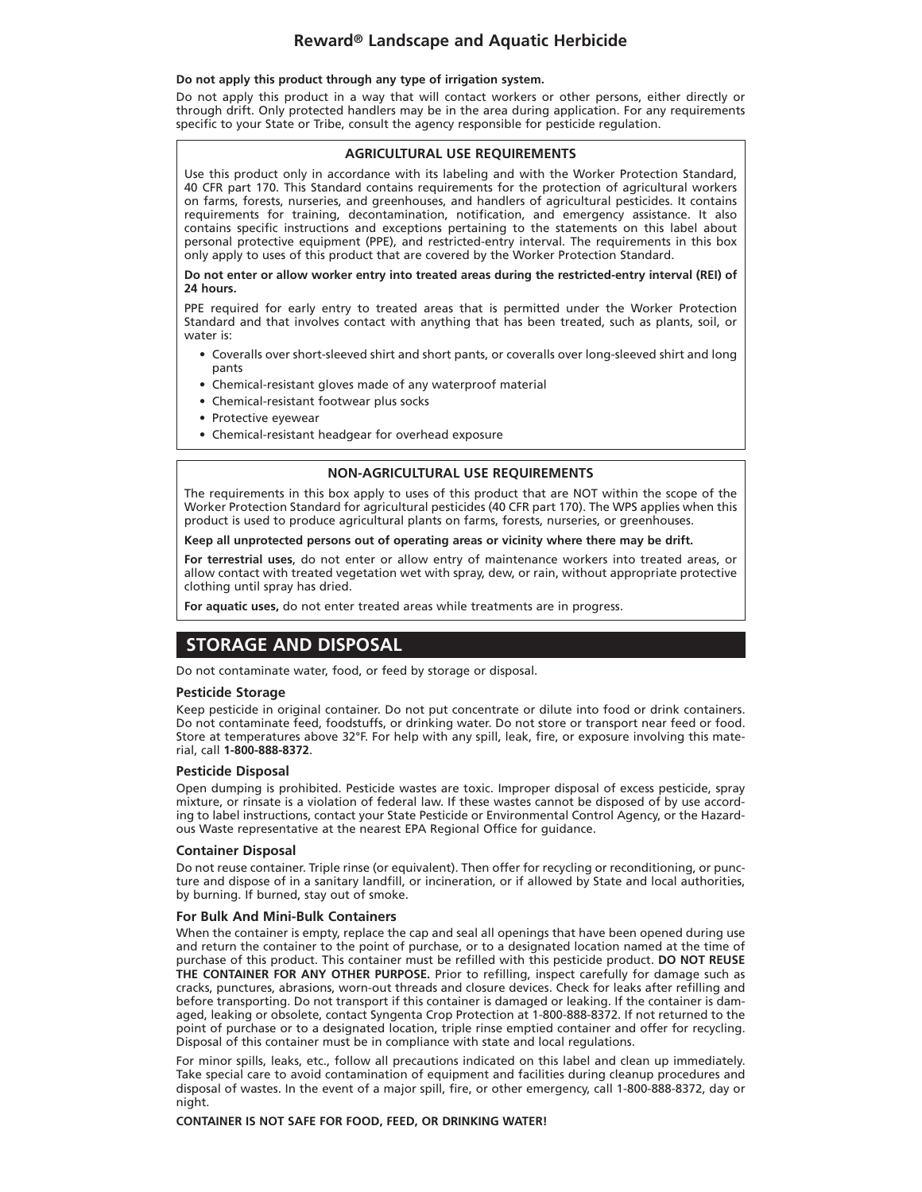#### **Do not apply this product through any type of irrigation system.**

Do not apply this product in a way that will contact workers or other persons, either directly or through drift. Only protected handlers may be in the area during application. For any requirements specific to your State or Tribe, consult the agency responsible for pesticide regulation.

#### **AGRICULTURAL USE REQUIREMENTS**

Use this product only in accordance with its labeling and with the Worker Protection Standard, 40 CFR part 170. This Standard contains requirements for the protection of agricultural workers on farms, forests, nurseries, and greenhouses, and handlers of agricultural pesticides. It contains requirements for training, decontamination, notification, and emergency assistance. It also contains specific instructions and exceptions pertaining to the statements on this label about personal protective equipment (PPE), and restricted-entry interval. The requirements in this box only apply to uses of this product that are covered by the Worker Protection Standard.

**Do not enter or allow worker entry into treated areas during the restricted-entry interval (REI) of 24 hours.**

PPE required for early entry to treated areas that is permitted under the Worker Protection Standard and that involves contact with anything that has been treated, such as plants, soil, or water is:

- Coveralls over short-sleeved shirt and short pants, or coveralls over long-sleeved shirt and long pants
- Chemical-resistant gloves made of any waterproof material
- Chemical-resistant footwear plus socks
- Protective eyewear
- Chemical-resistant headgear for overhead exposure

#### **NON-AGRICULTURAL USE REQUIREMENTS**

The requirements in this box apply to uses of this product that are NOT within the scope of the Worker Protection Standard for agricultural pesticides (40 CFR part 170). The WPS applies when this product is used to produce agricultural plants on farms, forests, nurseries, or greenhouses.

#### **Keep all unprotected persons out of operating areas or vicinity where there may be drift.**

**For terrestrial uses**, do not enter or allow entry of maintenance workers into treated areas, or allow contact with treated vegetation wet with spray, dew, or rain, without appropriate protective clothing until spray has dried.

**For aquatic uses,** do not enter treated areas while treatments are in progress.

## **STORAGE AND DISPOSAL**

Do not contaminate water, food, or feed by storage or disposal.

#### **Pesticide Storage**

Keep pesticide in original container. Do not put concentrate or dilute into food or drink containers. Do not contaminate feed, foodstuffs, or drinking water. Do not store or transport near feed or food. Store at temperatures above 32°F. For help with any spill, leak, fire, or exposure involving this material, call **1-800-888-8372**.

#### **Pesticide Disposal**

Open dumping is prohibited. Pesticide wastes are toxic. Improper disposal of excess pesticide, spray mixture, or rinsate is a violation of federal law. If these wastes cannot be disposed of by use according to label instructions, contact your State Pesticide or Environmental Control Agency, or the Hazardous Waste representative at the nearest EPA Regional Office for guidance.

#### **Container Disposal**

Do not reuse container. Triple rinse (or equivalent). Then offer for recycling or reconditioning, or puncture and dispose of in a sanitary landfill, or incineration, or if allowed by State and local authorities, by burning. If burned, stay out of smoke.

#### **For Bulk And Mini-Bulk Containers**

When the container is empty, replace the cap and seal all openings that have been opened during use and return the container to the point of purchase, or to a designated location named at the time of purchase of this product. This container must be refilled with this pesticide product. **DO NOT REUSE THE CONTAINER FOR ANY OTHER PURPOSE.** Prior to refilling, inspect carefully for damage such as cracks, punctures, abrasions, worn-out threads and closure devices. Check for leaks after refilling and before transporting. Do not transport if this container is damaged or leaking. If the container is damaged, leaking or obsolete, contact Syngenta Crop Protection at 1-800-888-8372. If not returned to the point of purchase or to a designated location, triple rinse emptied container and offer for recycling. Disposal of this container must be in compliance with state and local regulations.

For minor spills, leaks, etc., follow all precautions indicated on this label and clean up immediately. Take special care to avoid contamination of equipment and facilities during cleanup procedures and disposal of wastes. In the event of a major spill, fire, or other emergency, call 1-800-888-8372, day or night.

#### **CONTAINER IS NOT SAFE FOR FOOD, FEED, OR DRINKING WATER!**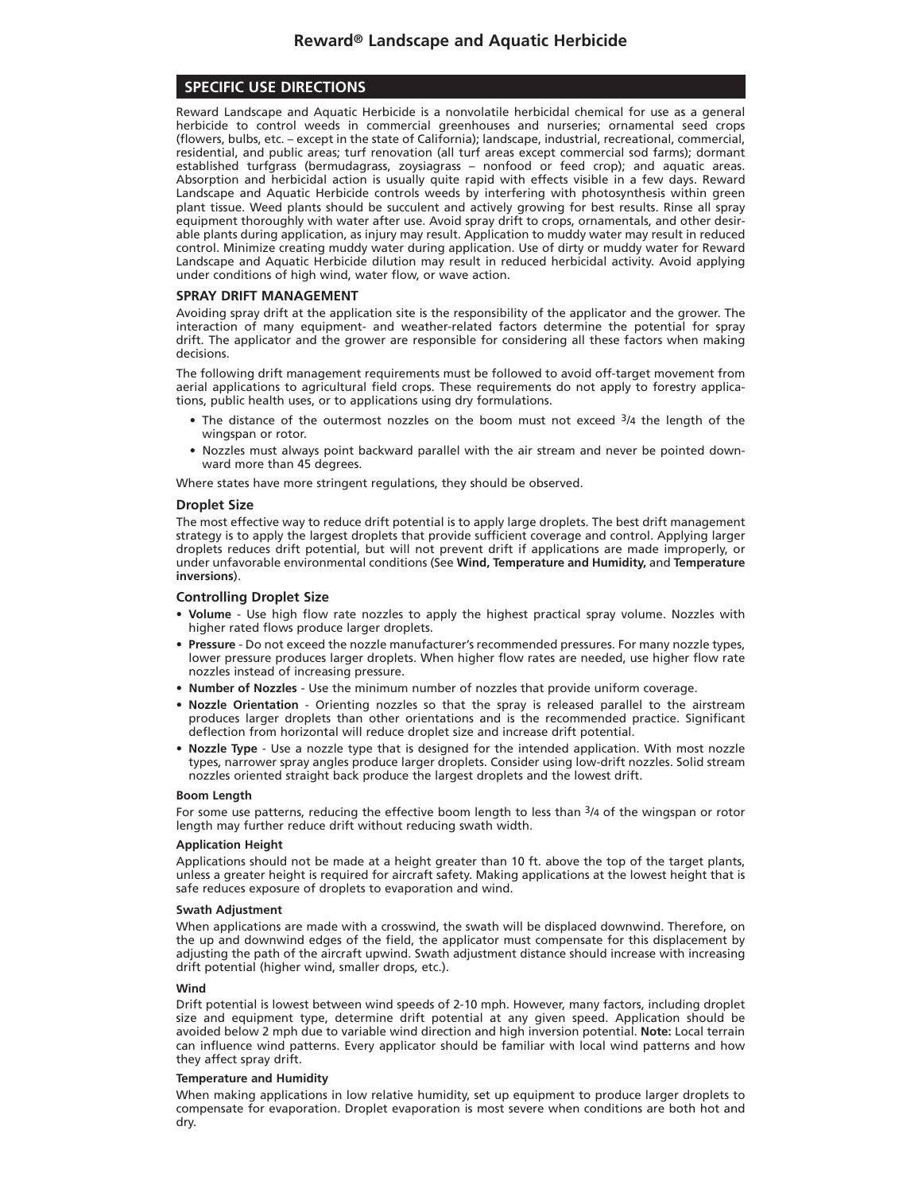## **SPECIFIC USE DIRECTIONS**

Reward Landscape and Aquatic Herbicide is a nonvolatile herbicidal chemical for use as a general herbicide to control weeds in commercial greenhouses and nurseries; ornamental seed crops (flowers, bulbs, etc. – except in the state of California); landscape, industrial, recreational, commercial, residential, and public areas; turf renovation (all turf areas except commercial sod farms); dormant established turfgrass (bermudagrass, zoysiagrass – nonfood or feed crop); and aquatic areas. Absorption and herbicidal action is usually quite rapid with effects visible in a few days. Reward Landscape and Aquatic Herbicide controls weeds by interfering with photosynthesis within green plant tissue. Weed plants should be succulent and actively growing for best results. Rinse all spray equipment thoroughly with water after use. Avoid spray drift to crops, ornamentals, and other desirable plants during application, as injury may result. Application to muddy water may result in reduced control. Minimize creating muddy water during application. Use of dirty or muddy water for Reward Landscape and Aquatic Herbicide dilution may result in reduced herbicidal activity. Avoid applying under conditions of high wind, water flow, or wave action.

#### **SPRAY DRIFT MANAGEMENT**

Avoiding spray drift at the application site is the responsibility of the applicator and the grower. The interaction of many equipment- and weather-related factors determine the potential for spray drift. The applicator and the grower are responsible for considering all these factors when making decisions.

The following drift management requirements must be followed to avoid off-target movement from aerial applications to agricultural field crops. These requirements do not apply to forestry applications, public health uses, or to applications using dry formulations.

- The distance of the outermost nozzles on the boom must not exceed  $3/4$  the length of the wingspan or rotor.
- Nozzles must always point backward parallel with the air stream and never be pointed downward more than 45 degrees.

Where states have more stringent regulations, they should be observed.

#### **Droplet Size**

The most effective way to reduce drift potential is to apply large droplets. The best drift management strategy is to apply the largest droplets that provide sufficient coverage and control. Applying larger droplets reduces drift potential, but will not prevent drift if applications are made improperly, or under unfavorable environmental conditions (See **Wind, Temperature and Humidity,** and **Temperature inversions**).

#### **Controlling Droplet Size**

- **Volume** Use high flow rate nozzles to apply the highest practical spray volume. Nozzles with higher rated flows produce larger droplets.
- **Pressure** Do not exceed the nozzle manufacturer's recommended pressures. For many nozzle types, lower pressure produces larger droplets. When higher flow rates are needed, use higher flow rate nozzles instead of increasing pressure.
- **Number of Nozzles** Use the minimum number of nozzles that provide uniform coverage.
- **Nozzle Orientation** Orienting nozzles so that the spray is released parallel to the airstream produces larger droplets than other orientations and is the recommended practice. Significant deflection from horizontal will reduce droplet size and increase drift potential.
- **Nozzle Type** Use a nozzle type that is designed for the intended application. With most nozzle types, narrower spray angles produce larger droplets. Consider using low-drift nozzles. Solid stream nozzles oriented straight back produce the largest droplets and the lowest drift.

#### **Boom Length**

For some use patterns, reducing the effective boom length to less than 3/4 of the wingspan or rotor length may further reduce drift without reducing swath width.

#### **Application Height**

Applications should not be made at a height greater than 10 ft. above the top of the target plants, unless a greater height is required for aircraft safety. Making applications at the lowest height that is safe reduces exposure of droplets to evaporation and wind.

#### **Swath Adjustment**

When applications are made with a crosswind, the swath will be displaced downwind. Therefore, on the up and downwind edges of the field, the applicator must compensate for this displacement by adjusting the path of the aircraft upwind. Swath adjustment distance should increase with increasing drift potential (higher wind, smaller drops, etc.).

#### **Wind**

Drift potential is lowest between wind speeds of 2-10 mph. However, many factors, including droplet size and equipment type, determine drift potential at any given speed. Application should be avoided below 2 mph due to variable wind direction and high inversion potential. **Note:** Local terrain can influence wind patterns. Every applicator should be familiar with local wind patterns and how they affect spray drift.

#### **Temperature and Humidity**

When making applications in low relative humidity, set up equipment to produce larger droplets to compensate for evaporation. Droplet evaporation is most severe when conditions are both hot and dry.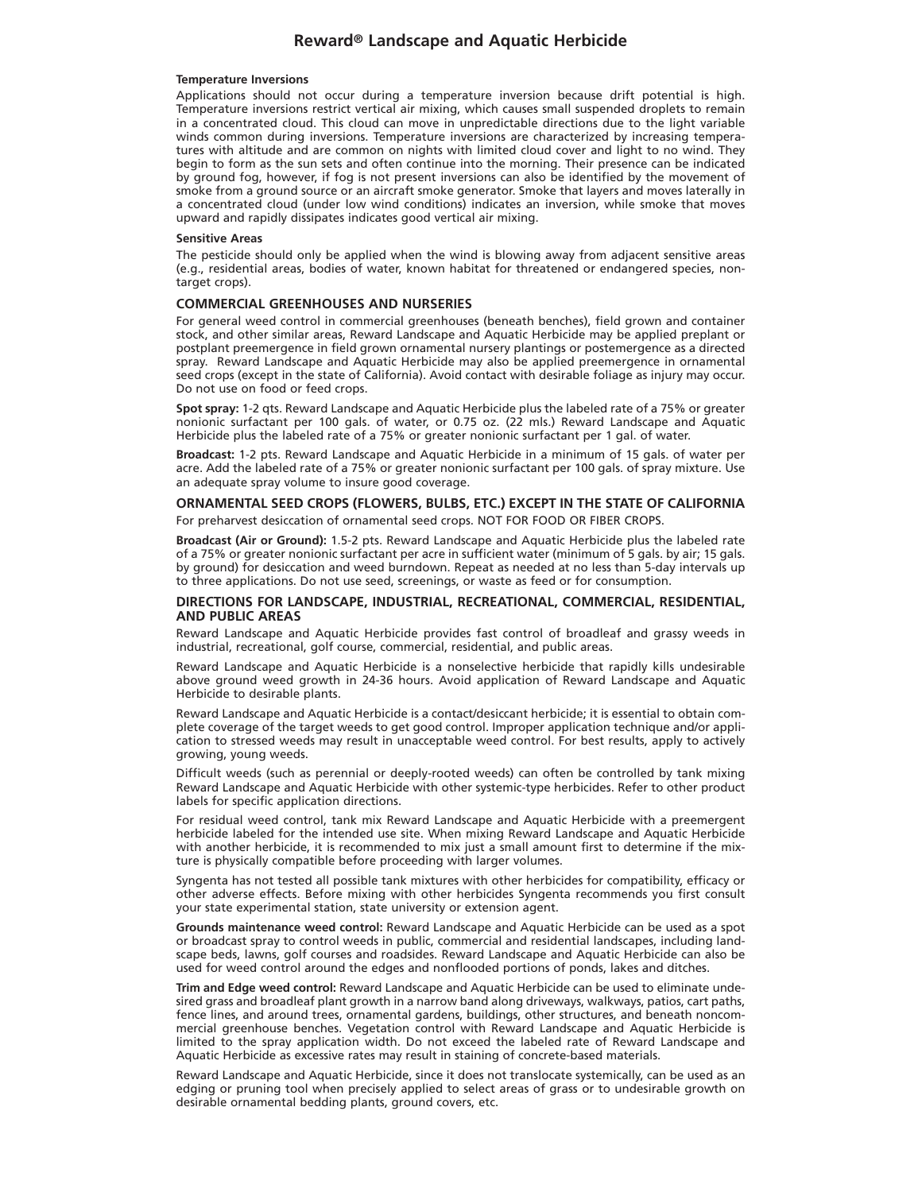#### **Temperature Inversions**

Applications should not occur during a temperature inversion because drift potential is high. Temperature inversions restrict vertical air mixing, which causes small suspended droplets to remain in a concentrated cloud. This cloud can move in unpredictable directions due to the light variable winds common during inversions. Temperature inversions are characterized by increasing temperatures with altitude and are common on nights with limited cloud cover and light to no wind. They begin to form as the sun sets and often continue into the morning. Their presence can be indicated by ground fog, however, if fog is not present inversions can also be identified by the movement of smoke from a ground source or an aircraft smoke generator. Smoke that layers and moves laterally in a concentrated cloud (under low wind conditions) indicates an inversion, while smoke that moves upward and rapidly dissipates indicates good vertical air mixing.

#### **Sensitive Areas**

The pesticide should only be applied when the wind is blowing away from adjacent sensitive areas (e.g., residential areas, bodies of water, known habitat for threatened or endangered species, nontarget crops).

#### **COMMERCIAL GREENHOUSES AND NURSERIES**

For general weed control in commercial greenhouses (beneath benches), field grown and container stock, and other similar areas, Reward Landscape and Aquatic Herbicide may be applied preplant or postplant preemergence in field grown ornamental nursery plantings or postemergence as a directed spray. Reward Landscape and Aquatic Herbicide may also be applied preemergence in ornamental seed crops (except in the state of California). Avoid contact with desirable foliage as injury may occur. Do not use on food or feed crops.

**Spot spray:** 1-2 qts. Reward Landscape and Aquatic Herbicide plus the labeled rate of a 75% or greater nonionic surfactant per 100 gals. of water, or 0.75 oz. (22 mls.) Reward Landscape and Aquatic Herbicide plus the labeled rate of a 75% or greater nonionic surfactant per 1 gal. of water.

**Broadcast:** 1-2 pts. Reward Landscape and Aquatic Herbicide in a minimum of 15 gals. of water per acre. Add the labeled rate of a 75% or greater nonionic surfactant per 100 gals. of spray mixture. Use an adequate spray volume to insure good coverage.

#### **ORNAMENTAL SEED CROPS (FLOWERS, BULBS, ETC.) EXCEPT IN THE STATE OF CALIFORNIA** For preharvest desiccation of ornamental seed crops. NOT FOR FOOD OR FIBER CROPS.

**Broadcast (Air or Ground):** 1.5-2 pts. Reward Landscape and Aquatic Herbicide plus the labeled rate of a 75% or greater nonionic surfactant per acre in sufficient water (minimum of 5 gals. by air; 15 gals. by ground) for desiccation and weed burndown. Repeat as needed at no less than 5-day intervals up to three applications. Do not use seed, screenings, or waste as feed or for consumption.

#### **DIRECTIONS FOR LANDSCAPE, INDUSTRIAL, RECREATIONAL, COMMERCIAL, RESIDENTIAL, AND PUBLIC AREAS**

Reward Landscape and Aquatic Herbicide provides fast control of broadleaf and grassy weeds in industrial, recreational, golf course, commercial, residential, and public areas.

Reward Landscape and Aquatic Herbicide is a nonselective herbicide that rapidly kills undesirable above ground weed growth in 24-36 hours. Avoid application of Reward Landscape and Aquatic Herbicide to desirable plants.

Reward Landscape and Aquatic Herbicide is a contact/desiccant herbicide; it is essential to obtain complete coverage of the target weeds to get good control. Improper application technique and/or application to stressed weeds may result in unacceptable weed control. For best results, apply to actively growing, young weeds.

Difficult weeds (such as perennial or deeply-rooted weeds) can often be controlled by tank mixing Reward Landscape and Aquatic Herbicide with other systemic-type herbicides. Refer to other product labels for specific application directions.

For residual weed control, tank mix Reward Landscape and Aquatic Herbicide with a preemergent herbicide labeled for the intended use site. When mixing Reward Landscape and Aquatic Herbicide with another herbicide, it is recommended to mix just a small amount first to determine if the mixture is physically compatible before proceeding with larger volumes.

Syngenta has not tested all possible tank mixtures with other herbicides for compatibility, efficacy or other adverse effects. Before mixing with other herbicides Syngenta recommends you first consult your state experimental station, state university or extension agent.

**Grounds maintenance weed control:** Reward Landscape and Aquatic Herbicide can be used as a spot or broadcast spray to control weeds in public, commercial and residential landscapes, including landscape beds, lawns, golf courses and roadsides. Reward Landscape and Aquatic Herbicide can also be used for weed control around the edges and nonflooded portions of ponds, lakes and ditches.

**Trim and Edge weed control:** Reward Landscape and Aquatic Herbicide can be used to eliminate undesired grass and broadleaf plant growth in a narrow band along driveways, walkways, patios, cart paths, fence lines, and around trees, ornamental gardens, buildings, other structures, and beneath noncommercial greenhouse benches. Vegetation control with Reward Landscape and Aquatic Herbicide is limited to the spray application width. Do not exceed the labeled rate of Reward Landscape and Aquatic Herbicide as excessive rates may result in staining of concrete-based materials.

Reward Landscape and Aquatic Herbicide, since it does not translocate systemically, can be used as an edging or pruning tool when precisely applied to select areas of grass or to undesirable growth on desirable ornamental bedding plants, ground covers, etc.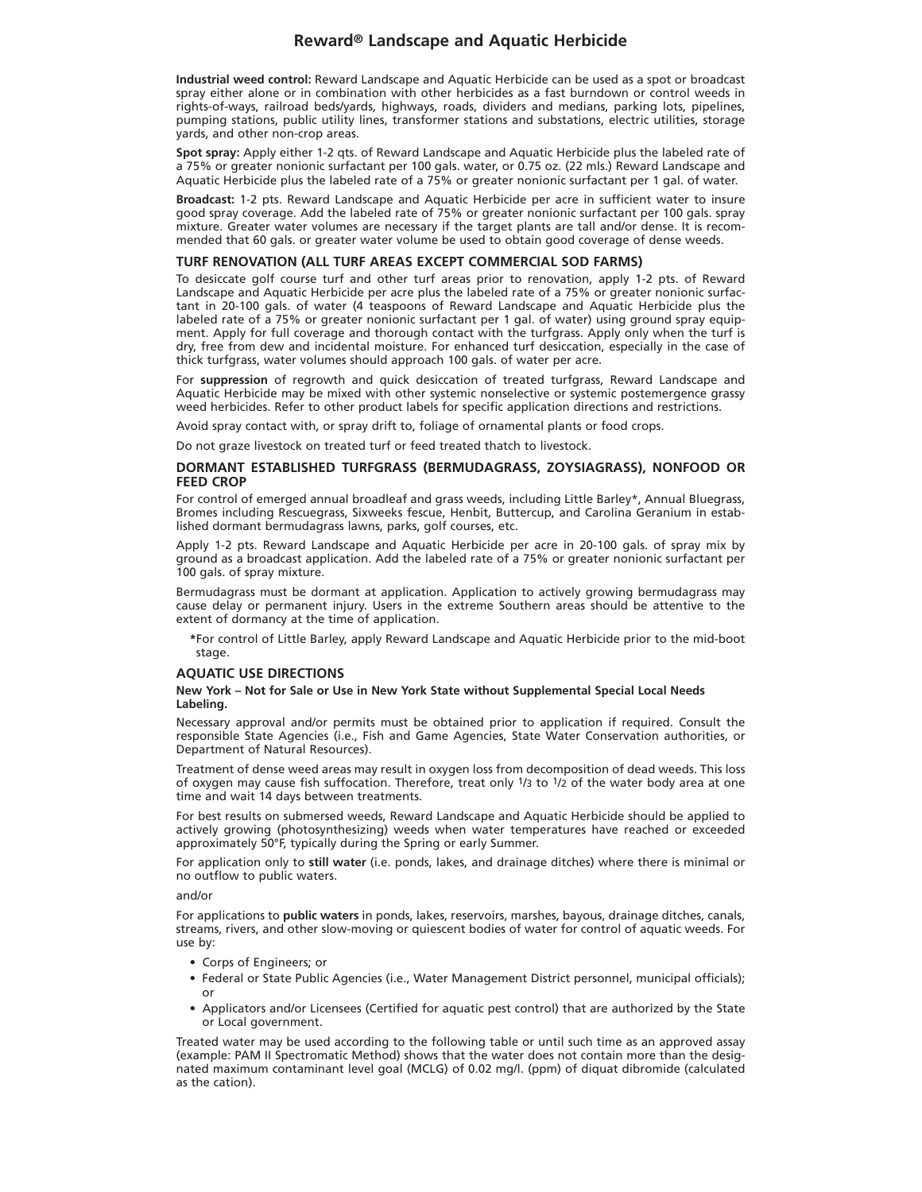**Industrial weed control:** Reward Landscape and Aquatic Herbicide can be used as a spot or broadcast spray either alone or in combination with other herbicides as a fast burndown or control weeds in rights-of-ways, railroad beds/yards, highways, roads, dividers and medians, parking lots, pipelines, pumping stations, public utility lines, transformer stations and substations, electric utilities, storage yards, and other non-crop areas.

**Spot spray:** Apply either 1-2 qts. of Reward Landscape and Aquatic Herbicide plus the labeled rate of a 75% or greater nonionic surfactant per 100 gals. water, or 0.75 oz. (22 mls.) Reward Landscape and Aquatic Herbicide plus the labeled rate of a 75% or greater nonionic surfactant per 1 gal. of water.

**Broadcast:** 1-2 pts. Reward Landscape and Aquatic Herbicide per acre in sufficient water to insure good spray coverage. Add the labeled rate of 75% or greater nonionic surfactant per 100 gals. spray mixture. Greater water volumes are necessary if the target plants are tall and/or dense. It is recommended that 60 gals. or greater water volume be used to obtain good coverage of dense weeds.

#### **TURF RENOVATION (ALL TURF AREAS EXCEPT COMMERCIAL SOD FARMS)**

To desiccate golf course turf and other turf areas prior to renovation, apply 1-2 pts. of Reward Landscape and Aquatic Herbicide per acre plus the labeled rate of a 75% or greater nonionic surfactant in 20-100 gals. of water (4 teaspoons of Reward Landscape and Aquatic Herbicide plus the labeled rate of a 75% or greater nonionic surfactant per 1 gal. of water) using ground spray equipment. Apply for full coverage and thorough contact with the turfgrass. Apply only when the turf is dry, free from dew and incidental moisture. For enhanced turf desiccation, especially in the case of thick turfgrass, water volumes should approach 100 gals. of water per acre.

For **suppression** of regrowth and quick desiccation of treated turfgrass, Reward Landscape and Aquatic Herbicide may be mixed with other systemic nonselective or systemic postemergence grassy weed herbicides. Refer to other product labels for specific application directions and restrictions.

Avoid spray contact with, or spray drift to, foliage of ornamental plants or food crops.

Do not graze livestock on treated turf or feed treated thatch to livestock.

#### **DORMANT ESTABLISHED TURFGRASS (BERMUDAGRASS, ZOYSIAGRASS), NONFOOD OR FEED CROP**

For control of emerged annual broadleaf and grass weeds, including Little Barley\*, Annual Bluegrass, Bromes including Rescuegrass, Sixweeks fescue, Henbit, Buttercup, and Carolina Geranium in established dormant bermudagrass lawns, parks, golf courses, etc.

Apply 1-2 pts. Reward Landscape and Aquatic Herbicide per acre in 20-100 gals. of spray mix by ground as a broadcast application. Add the labeled rate of a 75% or greater nonionic surfactant per 100 gals. of spray mixture.

Bermudagrass must be dormant at application. Application to actively growing bermudagrass may cause delay or permanent injury. Users in the extreme Southern areas should be attentive to the extent of dormancy at the time of application.

**\***For control of Little Barley, apply Reward Landscape and Aquatic Herbicide prior to the mid-boot stage.

#### **AQUATIC USE DIRECTIONS**

#### **New York – Not for Sale or Use in New York State without Supplemental Special Local Needs Labeling.**

Necessary approval and/or permits must be obtained prior to application if required. Consult the responsible State Agencies (i.e., Fish and Game Agencies, State Water Conservation authorities, or Department of Natural Resources).

Treatment of dense weed areas may result in oxygen loss from decomposition of dead weeds. This loss of oxygen may cause fish suffocation. Therefore, treat only  $1/3$  to  $1/2$  of the water body area at one time and wait 14 days between treatments.

For best results on submersed weeds, Reward Landscape and Aquatic Herbicide should be applied to actively growing (photosynthesizing) weeds when water temperatures have reached or exceeded approximately 50°F, typically during the Spring or early Summer.

For application only to **still water** (i.e. ponds, lakes, and drainage ditches) where there is minimal or no outflow to public waters.

and/or

For applications to **public waters** in ponds, lakes, reservoirs, marshes, bayous, drainage ditches, canals, streams, rivers, and other slow-moving or quiescent bodies of water for control of aquatic weeds. For use by:

- Corps of Engineers; or
- Federal or State Public Agencies (i.e., Water Management District personnel, municipal officials); or
- Applicators and/or Licensees (Certified for aquatic pest control) that are authorized by the State or Local government.

Treated water may be used according to the following table or until such time as an approved assay (example: PAM II Spectromatic Method) shows that the water does not contain more than the designated maximum contaminant level goal (MCLG) of 0.02 mg/l. (ppm) of diquat dibromide (calculated as the cation).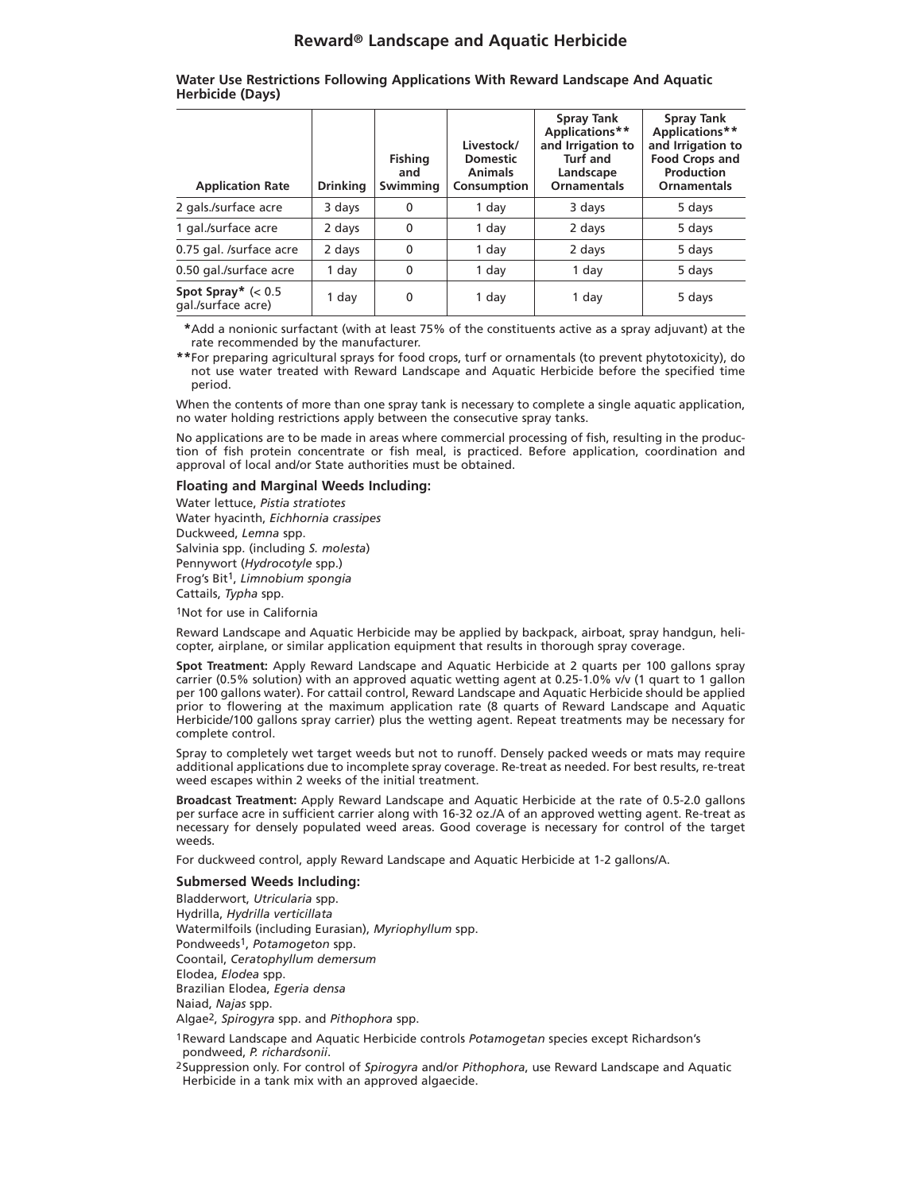**Water Use Restrictions Following Applications With Reward Landscape And Aquatic Herbicide (Days)**

| <b>Application Rate</b>              | <b>Drinking</b> | <b>Fishing</b><br>and<br>Swimming | Livestock/<br><b>Domestic</b><br><b>Animals</b><br>Consumption | <b>Spray Tank</b><br>Applications**<br>and Irrigation to<br>Turf and<br>Landscape<br><b>Ornamentals</b> | <b>Spray Tank</b><br>Applications**<br>and Irrigation to<br><b>Food Crops and</b><br>Production<br>Ornamentals |
|--------------------------------------|-----------------|-----------------------------------|----------------------------------------------------------------|---------------------------------------------------------------------------------------------------------|----------------------------------------------------------------------------------------------------------------|
| 2 gals./surface acre                 | 3 days          | $\mathbf 0$                       | 1 day                                                          | 3 days                                                                                                  | 5 days                                                                                                         |
| 1 gal./surface acre                  | 2 days          | $\mathbf 0$                       | 1 day                                                          | 2 days                                                                                                  | 5 days                                                                                                         |
| 0.75 gal. /surface acre              | 2 days          | $\mathbf{0}$                      | 1 day                                                          | 2 days                                                                                                  | 5 days                                                                                                         |
| 0.50 gal./surface acre               | 1 day           | $\Omega$                          | 1 day                                                          | 1 day                                                                                                   | 5 days                                                                                                         |
| Spot Spray* $(0.5qal./surface acre)$ | 1 day           | 0                                 | 1 day                                                          | 1 day                                                                                                   | 5 days                                                                                                         |

**\*\***Add a nonionic surfactant (with at least 75% of the constituents active as a spray adjuvant) at the rate recommended by the manufacturer.

**\*\***For preparing agricultural sprays for food crops, turf or ornamentals (to prevent phytotoxicity), do not use water treated with Reward Landscape and Aquatic Herbicide before the specified time period.

When the contents of more than one spray tank is necessary to complete a single aquatic application, no water holding restrictions apply between the consecutive spray tanks.

No applications are to be made in areas where commercial processing of fish, resulting in the production of fish protein concentrate or fish meal, is practiced. Before application, coordination and approval of local and/or State authorities must be obtained.

#### **Floating and Marginal Weeds Including:**

Water lettuce, *Pistia stratiotes* Water hyacinth, *Eichhornia crassipes* Duckweed, *Lemna* spp. Salvinia spp. (including *S. molesta*) Pennywort (*Hydrocotyle* spp.) Frog's Bit1, *Limnobium spongia* Cattails, *Typha* spp.

1Not for use in California

Reward Landscape and Aquatic Herbicide may be applied by backpack, airboat, spray handgun, helicopter, airplane, or similar application equipment that results in thorough spray coverage.

**Spot Treatment:** Apply Reward Landscape and Aquatic Herbicide at 2 quarts per 100 gallons spray carrier (0.5% solution) with an approved aquatic wetting agent at 0.25-1.0% v/v (1 quart to 1 gallon per 100 gallons water). For cattail control, Reward Landscape and Aquatic Herbicide should be applied prior to flowering at the maximum application rate (8 quarts of Reward Landscape and Aquatic Herbicide/100 gallons spray carrier) plus the wetting agent. Repeat treatments may be necessary for complete control.

Spray to completely wet target weeds but not to runoff. Densely packed weeds or mats may require additional applications due to incomplete spray coverage. Re-treat as needed. For best results, re-treat weed escapes within 2 weeks of the initial treatment.

**Broadcast Treatment:** Apply Reward Landscape and Aquatic Herbicide at the rate of 0.5-2.0 gallons per surface acre in sufficient carrier along with 16-32 oz./A of an approved wetting agent. Re-treat as necessary for densely populated weed areas. Good coverage is necessary for control of the target weeds.

For duckweed control, apply Reward Landscape and Aquatic Herbicide at 1-2 gallons/A.

#### **Submersed Weeds Including:**

Bladderwort, *Utricularia* spp. Hydrilla, *Hydrilla verticillata* Watermilfoils (including Eurasian), *Myriophyllum* spp. Pondweeds1, *Potamogeton* spp. Coontail, *Ceratophyllum demersum* Elodea, *Elodea* spp. Brazilian Elodea, *Egeria densa* Naiad, *Najas* spp. Algae2, *Spirogyra* spp. and *Pithophora* spp. 1Reward Landscape and Aquatic Herbicide controls *Potamogetan* species except Richardson's

pondweed, *P. richardsonii*. 2Suppression only. For control of *Spirogyra* and/or *Pithophora*, use Reward Landscape and Aquatic Herbicide in a tank mix with an approved algaecide.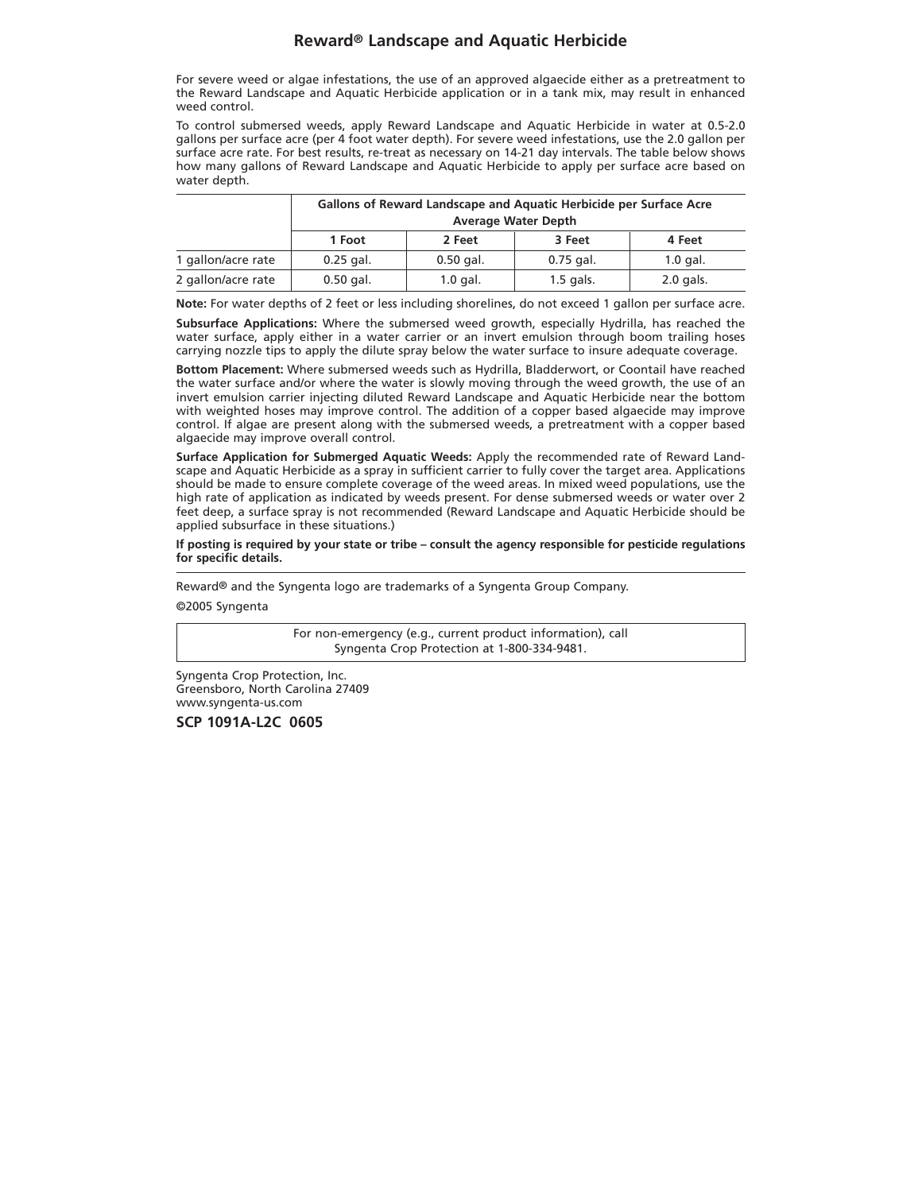For severe weed or algae infestations, the use of an approved algaecide either as a pretreatment to the Reward Landscape and Aquatic Herbicide application or in a tank mix, may result in enhanced weed control.

To control submersed weeds, apply Reward Landscape and Aquatic Herbicide in water at 0.5-2.0 gallons per surface acre (per 4 foot water depth). For severe weed infestations, use the 2.0 gallon per surface acre rate. For best results, re-treat as necessary on 14-21 day intervals. The table below shows how many gallons of Reward Landscape and Aquatic Herbicide to apply per surface acre based on water depth.

|                    | Gallons of Reward Landscape and Aquatic Herbicide per Surface Acre<br><b>Average Water Depth</b> |             |             |             |  |  |
|--------------------|--------------------------------------------------------------------------------------------------|-------------|-------------|-------------|--|--|
|                    |                                                                                                  |             |             |             |  |  |
|                    | 1 Foot                                                                                           | 2 Feet      | 3 Feet      | 4 Feet      |  |  |
| 1 gallon/acre rate | $0.25$ gal.                                                                                      | $0.50$ gal. | $0.75$ gal. | $1.0$ gal.  |  |  |
| 2 gallon/acre rate | $0.50$ gal.                                                                                      | $1.0$ gal.  | $1.5$ gals. | $2.0$ gals. |  |  |

**Note:** For water depths of 2 feet or less including shorelines, do not exceed 1 gallon per surface acre.

**Subsurface Applications:** Where the submersed weed growth, especially Hydrilla, has reached the water surface, apply either in a water carrier or an invert emulsion through boom trailing hoses carrying nozzle tips to apply the dilute spray below the water surface to insure adequate coverage.

**Bottom Placement:** Where submersed weeds such as Hydrilla, Bladderwort, or Coontail have reached the water surface and/or where the water is slowly moving through the weed growth, the use of an invert emulsion carrier injecting diluted Reward Landscape and Aquatic Herbicide near the bottom with weighted hoses may improve control. The addition of a copper based algaecide may improve control. If algae are present along with the submersed weeds, a pretreatment with a copper based algaecide may improve overall control.

**Surface Application for Submerged Aquatic Weeds:** Apply the recommended rate of Reward Landscape and Aquatic Herbicide as a spray in sufficient carrier to fully cover the target area. Applications should be made to ensure complete coverage of the weed areas. In mixed weed populations, use the high rate of application as indicated by weeds present. For dense submersed weeds or water over 2 feet deep, a surface spray is not recommended (Reward Landscape and Aquatic Herbicide should be applied subsurface in these situations.)

#### **If posting is required by your state or tribe – consult the agency responsible for pesticide regulations for specific details.**

Reward® and the Syngenta logo are trademarks of a Syngenta Group Company.

©2005 Syngenta

For non-emergency (e.g., current product information), call Syngenta Crop Protection at 1-800-334-9481.

Syngenta Crop Protection, Inc. Greensboro, North Carolina 27409 www.syngenta-us.com

**SCP 1091A-L2C 0605**